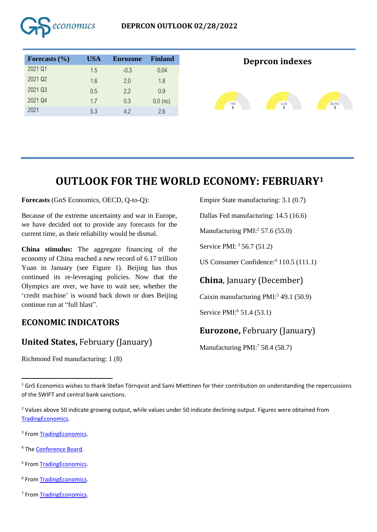

# **OUTLOOK FOR THE WORLD ECONOMY: FEBRUARY<sup>1</sup>**

**Forecasts** (GnS Economics, OECD, Q-to-Q):

Because of the extreme uncertainty and war in Europe, we have decided not to provide any forecasts for the current time, as their reliability would be dismal.

**China stimulus:** The aggregate financing of the economy of China reached a new record of 6.17 trillion Yuan in January (see Figure 1). Beijing has thus continued its re-leveraging policies. Now that the Olympics are over, we have to wait see, whether the 'credit machine' is wound back down or does Beijing continue run at "full blast".

## **ECONOMIC INDICATORS**

#### **United States,** February (January)

Richmond Fed manufacturing: 1 (8)

Empire State manufacturing: 3.1 (0.7)

Dallas Fed manufacturing: 14.5 (16.6)

Manufacturing  $PMI: <sup>2</sup> 57.6 (55.0)$ 

Service PMI: <sup>3</sup> 56.7 (51.2)

US Consumer Confidence:<sup>4</sup> 110.5 (111.1)

## **China**, January (December)

Caixin manufacturing  $PMI:549.1(50.9)$ 

Service PMI:<sup>6</sup> 51.4 (53.1)

## **Eurozone,** February (January)

Manufacturing PMI:<sup>7</sup> 58.4 (58.7)

<sup>1</sup> GnS Economics wishes to thank Stefan Törnqvist and Sami Miettinen for their contribution on understanding the repercussions of the SWIFT and central bank sanctions.

<sup>2</sup> Values above 50 indicate growing output, while values under 50 indicate declining output. Figures were obtained from [TradingEconomics.](https://tradingeconomics.com/)

<sup>3</sup> From [TradingEconomics.](https://tradingeconomics.com/)

- <sup>4</sup> The [Conference Board.](https://conference-board.org/data/consumerconfidence.cfm)
- <sup>5</sup> From [TradingEconomics.](https://tradingeconomics.com/)
- <sup>6</sup> From [TradingEconomics.](https://tradingeconomics.com/)
- <sup>7</sup> From [TradingEconomics.](https://tradingeconomics.com/)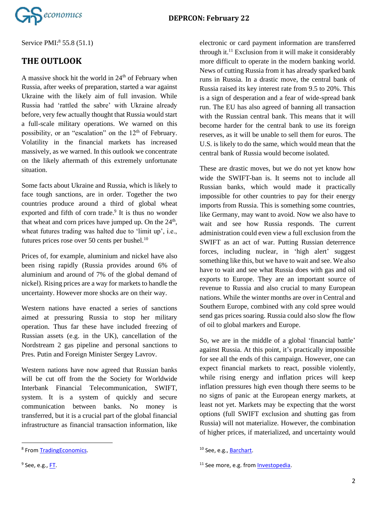

Service PMI:<sup>8</sup> 55.8 (51.1)

#### **THE OUTLOOK**

A massive shock hit the world in  $24<sup>th</sup>$  of February when Russia, after weeks of preparation, started a war against Ukraine with the likely aim of full invasion. While Russia had 'rattled the sabre' with Ukraine already before, very few actually thought that Russia would start a full-scale military operations. We warned on this possibility, or an "escalation" on the  $12<sup>th</sup>$  of February. Volatility in the financial markets has increased massively, as we warned. In this outlook we concentrate on the likely aftermath of this extremely unfortunate situation.

Some facts about Ukraine and Russia, which is likely to face tough sanctions, are in order. Together the two countries produce around a third of global wheat exported and fifth of corn trade.<sup>9</sup> It is thus no wonder that wheat and corn prices have jumped up. On the  $24<sup>th</sup>$ , wheat futures trading was halted due to 'limit up', i.e., futures prices rose over 50 cents per bushel. $10$ 

Prices of, for example, aluminium and nickel have also been rising rapidly (Russia provides around 6% of aluminium and around of 7% of the global demand of nickel). Rising prices are a way for markets to handle the uncertainty. However more shocks are on their way.

Western nations have enacted a series of sanctions aimed at pressuring Russia to stop her military operation. Thus far these have included freezing of Russian assets (e.g. in the UK), cancellation of the Nordstream 2 gas pipeline and personal sanctions to Pres. Putin and Foreign Minister Sergey Lavrov.

Western nations have now agreed that Russian banks will be cut off from the the Society for Worldwide Interbank Financial Telecommunication, SWIFT, system. It is a system of quickly and secure communication between banks. No money is transferred, but it is a crucial part of the global financial infrastructure as financial transaction information, like

electronic or card payment information are transferred through it. <sup>11</sup> Exclusion from it will make it considerably more difficult to operate in the modern banking world. News of cutting Russia from it has already sparked bank runs in Russia. In a drastic move, the central bank of Russia raised its key interest rate from 9.5 to 20%. This is a sign of desperation and a fear of wide-spread bank run. The EU has also agreed of banning all transaction with the Russian central bank. This means that it will become harder for the central bank to use its foreign reserves, as it will be unable to sell them for euros. The U.S. is likely to do the same, which would mean that the central bank of Russia would become isolated.

These are drastic moves, but we do not yet know how wide the SWIFT-ban is. It seems not to include all Russian banks, which would made it practically impossible for other countries to pay for their energy imports from Russia. This is something some countries, like Germany, may want to avoid. Now we also have to wait and see how Russia responds. The current administration could even view a full exclusion from the SWIFT as an act of war. Putting Russian deterrence forces, including nuclear, in 'high alert' suggest something like this, but we have to wait and see. We also have to wait and see what Russia does with gas and oil exports to Europe. They are an important source of revenue to Russia and also crucial to many European nations. While the winter months are over in Central and Southern Europe, combined with any cold spree would send gas prices soaring. Russia could also slow fhe flow of oil to global markers and Europe.

So, we are in the middle of a global 'financial battle' against Russia. At this point, it's practically impossible for see all the ends of this campaign. However, one can expect financial markets to react, possible violently, while rising energy and inflation prices will keep inflation pressures high even though there seems to be no signs of panic at the European energy markets, at least not yet. Markets may be expecting that the worst options (full SWIFT exclusion and shutting gas from Russia) will not materialize. However, the combination of higher prices, if materialized, and uncertainty would

<sup>&</sup>lt;sup>8</sup> From [TradingEconomics.](https://tradingeconomics.com/)

<sup>&</sup>lt;sup>9</sup> See, e.g., <u>FT</u>.

<sup>&</sup>lt;sup>10</sup> See, e.g., **Barchart**.

<sup>&</sup>lt;sup>11</sup> See more, e.g. from **Investopedia**.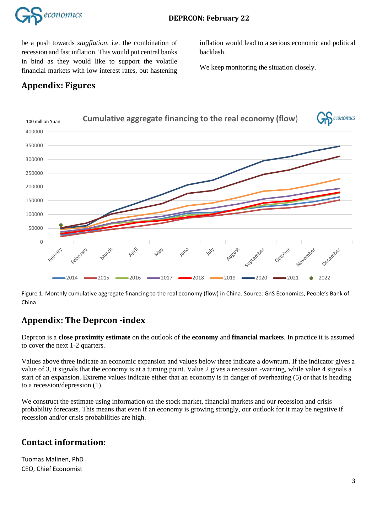

be a push towards *stagflation*, i.e. the combination of recession and fast inflation. This would put central banks in bind as they would like to support the volatile financial markets with low interest rates, but hastening

inflation would lead to a serious economic and political backlash.

We keep monitoring the situation closely.

## **Appendix: Figures**



Figure 1. Monthly cumulative aggregate financing to the real economy (flow) in China. Source: GnS Economics, People's Bank of China

## **Appendix: The Deprcon -index**

Deprcon is a **close proximity estimate** on the outlook of the **economy** and **financial markets**. In practice it is assumed to cover the next 1-2 quarters.

Values above three indicate an economic expansion and values below three indicate a downturn. If the indicator gives a value of 3, it signals that the economy is at a turning point. Value 2 gives a recession -warning, while value 4 signals a start of an expansion. Extreme values indicate either that an economy is in danger of overheating (5) or that is heading to a recession/depression (1).

We construct the estimate using information on the stock market, financial markets and our recession and crisis probability forecasts. This means that even if an economy is growing strongly, our outlook for it may be negative if recession and/or crisis probabilities are high.

#### **Contact information:**

Tuomas Malinen, PhD CEO, Chief Economist